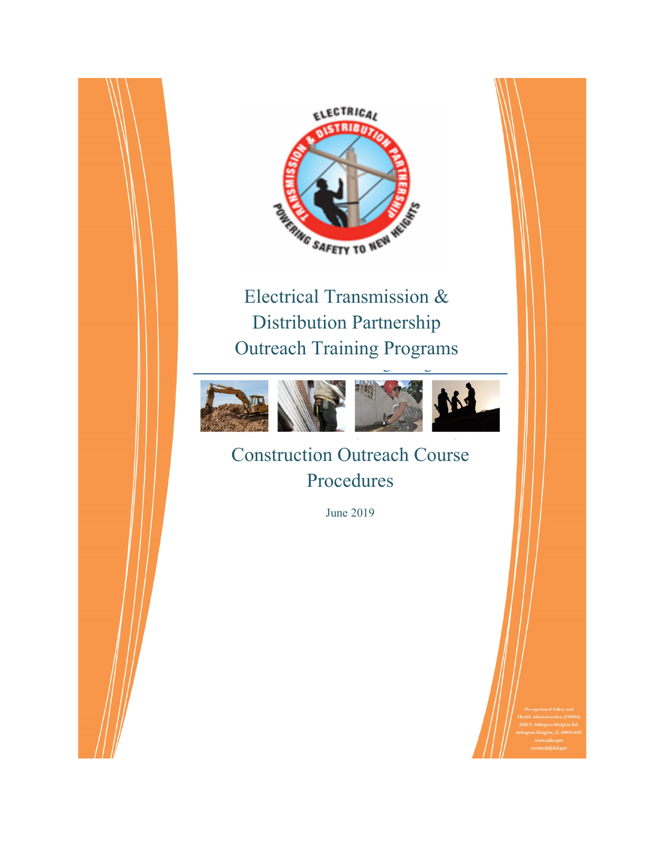

Electrical Transmission & Distribution Partnership Outreach Training Programs



Construction Outreach Course Procedures

June 2019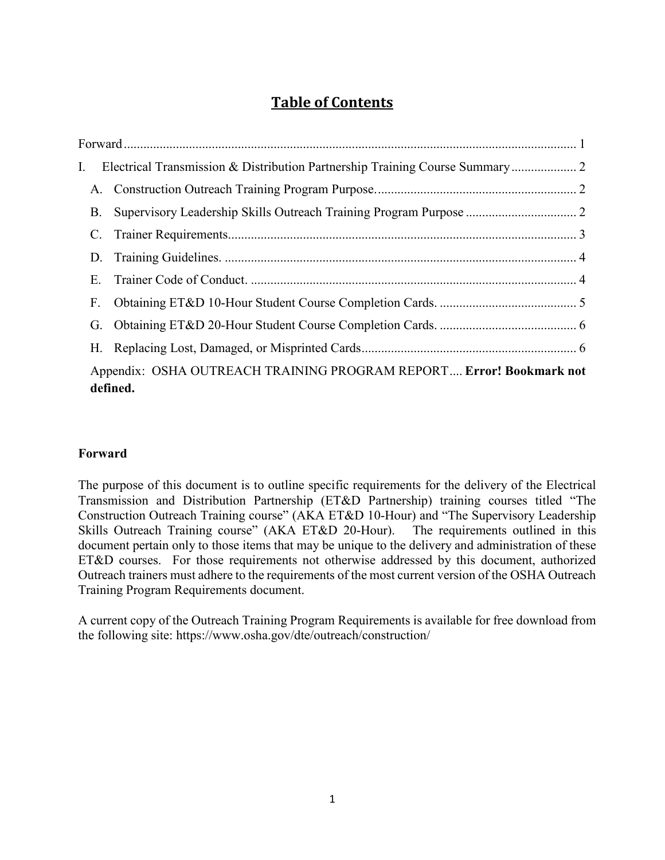# **Table of Contents**

| I.                                                                              |  |  |  |  |
|---------------------------------------------------------------------------------|--|--|--|--|
|                                                                                 |  |  |  |  |
| <b>B.</b>                                                                       |  |  |  |  |
|                                                                                 |  |  |  |  |
|                                                                                 |  |  |  |  |
| E.                                                                              |  |  |  |  |
| F.                                                                              |  |  |  |  |
|                                                                                 |  |  |  |  |
|                                                                                 |  |  |  |  |
| Appendix: OSHA OUTREACH TRAINING PROGRAM REPORT Error! Bookmark not<br>defined. |  |  |  |  |

# <span id="page-1-0"></span>**Forward**

The purpose of this document is to outline specific requirements for the delivery of the Electrical Transmission and Distribution Partnership (ET&D Partnership) training courses titled "The Construction Outreach Training course" (AKA ET&D 10-Hour) and "The Supervisory Leadership Skills Outreach Training course" (AKA ET&D 20-Hour). The requirements outlined in this document pertain only to those items that may be unique to the delivery and administration of these ET&D courses. For those requirements not otherwise addressed by this document, authorized Outreach trainers must adhere to the requirements of the most current version of the OSHA Outreach Training Program Requirements document.

A current copy of the Outreach Training Program Requirements is available for free download from the following site: https://www.osha.gov/dte/outreach/construction/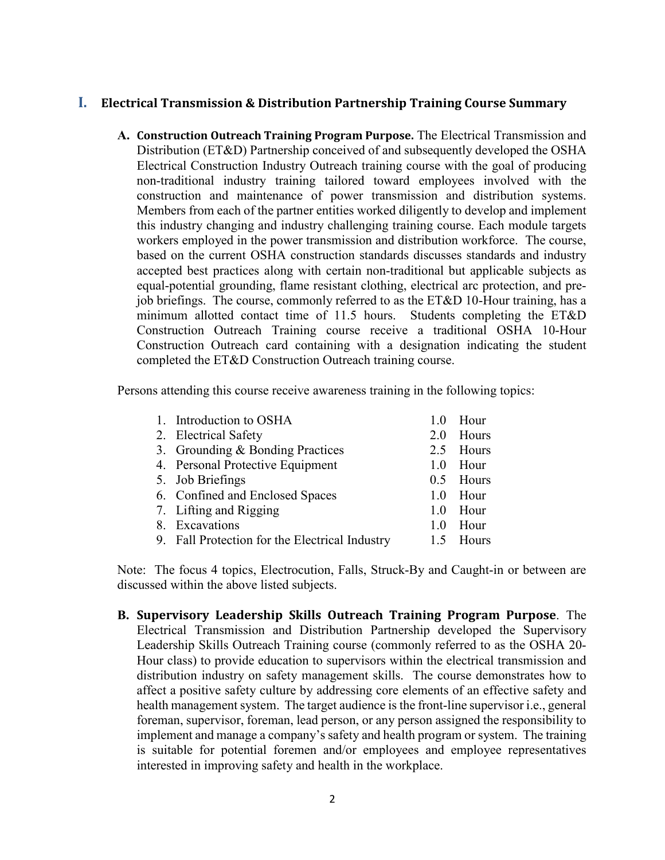## <span id="page-2-1"></span><span id="page-2-0"></span>**I. Electrical Transmission & Distribution Partnership Training Course Summary**

**A. Construction Outreach Training Program Purpose.** The Electrical Transmission and Distribution (ET&D) Partnership conceived of and subsequently developed the OSHA Electrical Construction Industry Outreach training course with the goal of producing non-traditional industry training tailored toward employees involved with the construction and maintenance of power transmission and distribution systems. Members from each of the partner entities worked diligently to develop and implement this industry changing and industry challenging training course. Each module targets workers employed in the power transmission and distribution workforce. The course, based on the current OSHA construction standards discusses standards and industry accepted best practices along with certain non-traditional but applicable subjects as equal-potential grounding, flame resistant clothing, electrical arc protection, and prejob briefings. The course, commonly referred to as the ET&D 10-Hour training, has a minimum allotted contact time of 11.5 hours. Students completing the ET&D Construction Outreach Training course receive a traditional OSHA 10-Hour Construction Outreach card containing with a designation indicating the student completed the ET&D Construction Outreach training course.

Persons attending this course receive awareness training in the following topics:

| 1. Introduction to OSHA                        | 1.0 | Hour      |
|------------------------------------------------|-----|-----------|
| 2. Electrical Safety                           | 2.0 | Hours     |
| 3. Grounding & Bonding Practices               |     | 2.5 Hours |
| 4. Personal Protective Equipment               | 1.0 | Hour      |
| 5. Job Briefings                               |     | 0.5 Hours |
| 6. Confined and Enclosed Spaces                | 1.0 | Hour      |
| 7. Lifting and Rigging                         | 1.0 | Hour      |
| 8. Excavations                                 | 1.0 | Hour      |
| 9. Fall Protection for the Electrical Industry |     | 1.5 Hours |
|                                                |     |           |

Note: The focus 4 topics, Electrocution, Falls, Struck-By and Caught-in or between are discussed within the above listed subjects.

<span id="page-2-2"></span>**B. Supervisory Leadership Skills Outreach Training Program Purpose**. The Electrical Transmission and Distribution Partnership developed the Supervisory Leadership Skills Outreach Training course (commonly referred to as the OSHA 20- Hour class) to provide education to supervisors within the electrical transmission and distribution industry on safety management skills. The course demonstrates how to affect a positive safety culture by addressing core elements of an effective safety and health management system. The target audience is the front-line supervisor i.e., general foreman, supervisor, foreman, lead person, or any person assigned the responsibility to implement and manage a company's safety and health program or system. The training is suitable for potential foremen and/or employees and employee representatives interested in improving safety and health in the workplace.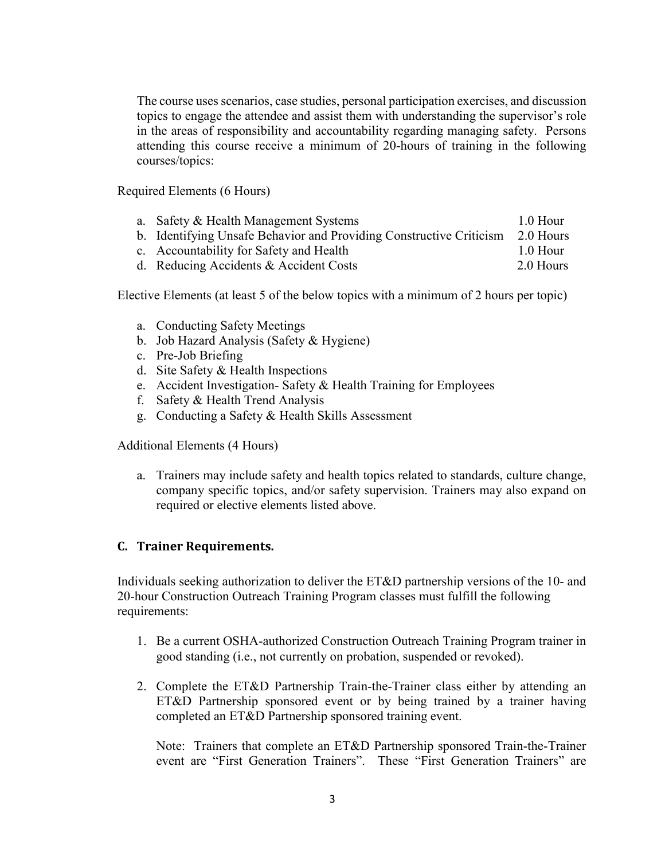The course uses scenarios, case studies, personal participation exercises, and discussion topics to engage the attendee and assist them with understanding the supervisor's role in the areas of responsibility and accountability regarding managing safety. Persons attending this course receive a minimum of 20-hours of training in the following courses/topics:

Required Elements (6 Hours)

- a. Safety & Health Management Systems 1.0 Hour
- b. Identifying Unsafe Behavior and Providing Constructive Criticism 2.0 Hours
- c. Accountability for Safety and Health 1.0 Hour
- d. Reducing Accidents & Accident Costs 2.0 Hours

Elective Elements (at least 5 of the below topics with a minimum of 2 hours per topic)

- a. Conducting Safety Meetings
- b. Job Hazard Analysis (Safety & Hygiene)
- c. Pre-Job Briefing
- d. Site Safety & Health Inspections
- e. Accident Investigation- Safety & Health Training for Employees
- f. Safety & Health Trend Analysis
- g. Conducting a Safety & Health Skills Assessment

Additional Elements (4 Hours)

a. Trainers may include safety and health topics related to standards, culture change, company specific topics, and/or safety supervision. Trainers may also expand on required or elective elements listed above.

## <span id="page-3-0"></span>**C. Trainer Requirements.**

Individuals seeking authorization to deliver the ET&D partnership versions of the 10- and 20-hour Construction Outreach Training Program classes must fulfill the following requirements:

- 1. Be a current OSHA-authorized Construction Outreach Training Program trainer in good standing (i.e., not currently on probation, suspended or revoked).
- 2. Complete the ET&D Partnership Train-the-Trainer class either by attending an ET&D Partnership sponsored event or by being trained by a trainer having completed an ET&D Partnership sponsored training event.

Note: Trainers that complete an ET&D Partnership sponsored Train-the-Trainer event are "First Generation Trainers". These "First Generation Trainers" are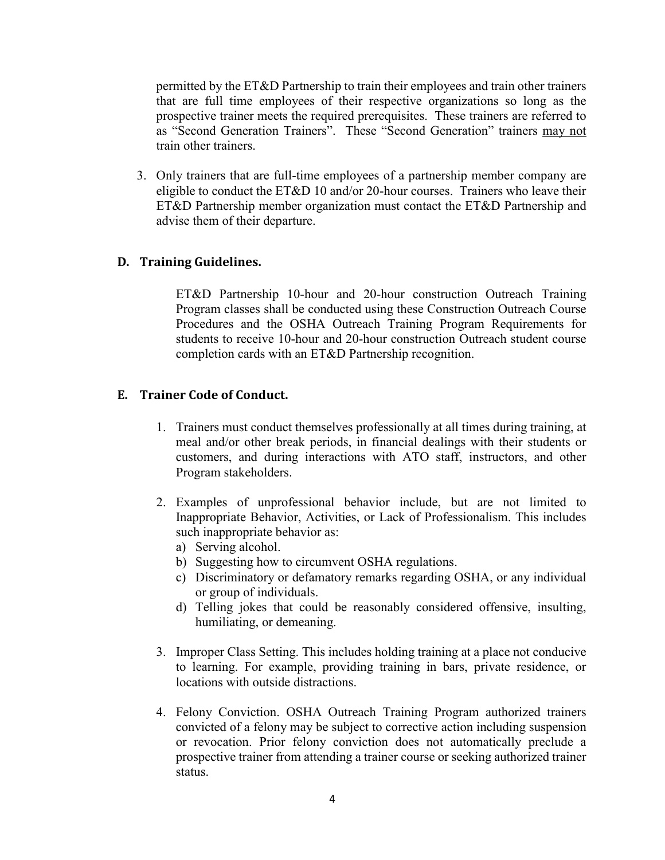permitted by the ET&D Partnership to train their employees and train other trainers that are full time employees of their respective organizations so long as the prospective trainer meets the required prerequisites. These trainers are referred to as "Second Generation Trainers". These "Second Generation" trainers may not train other trainers.

3. Only trainers that are full-time employees of a partnership member company are eligible to conduct the ET&D 10 and/or 20-hour courses. Trainers who leave their ET&D Partnership member organization must contact the ET&D Partnership and advise them of their departure.

#### <span id="page-4-0"></span>**D. Training Guidelines.**

ET&D Partnership 10-hour and 20-hour construction Outreach Training Program classes shall be conducted using these Construction Outreach Course Procedures and the OSHA Outreach Training Program Requirements for students to receive 10-hour and 20-hour construction Outreach student course completion cards with an ET&D Partnership recognition.

## <span id="page-4-1"></span>**E. Trainer Code of Conduct.**

- 1. Trainers must conduct themselves professionally at all times during training, at meal and/or other break periods, in financial dealings with their students or customers, and during interactions with ATO staff, instructors, and other Program stakeholders.
- 2. Examples of unprofessional behavior include, but are not limited to Inappropriate Behavior, Activities, or Lack of Professionalism. This includes such inappropriate behavior as:
	- a) Serving alcohol.
	- b) Suggesting how to circumvent OSHA regulations.
	- c) Discriminatory or defamatory remarks regarding OSHA, or any individual or group of individuals.
	- d) Telling jokes that could be reasonably considered offensive, insulting, humiliating, or demeaning.
- 3. Improper Class Setting. This includes holding training at a place not conducive to learning. For example, providing training in bars, private residence, or locations with outside distractions.
- 4. Felony Conviction. OSHA Outreach Training Program authorized trainers convicted of a felony may be subject to corrective action including suspension or revocation. Prior felony conviction does not automatically preclude a prospective trainer from attending a trainer course or seeking authorized trainer status.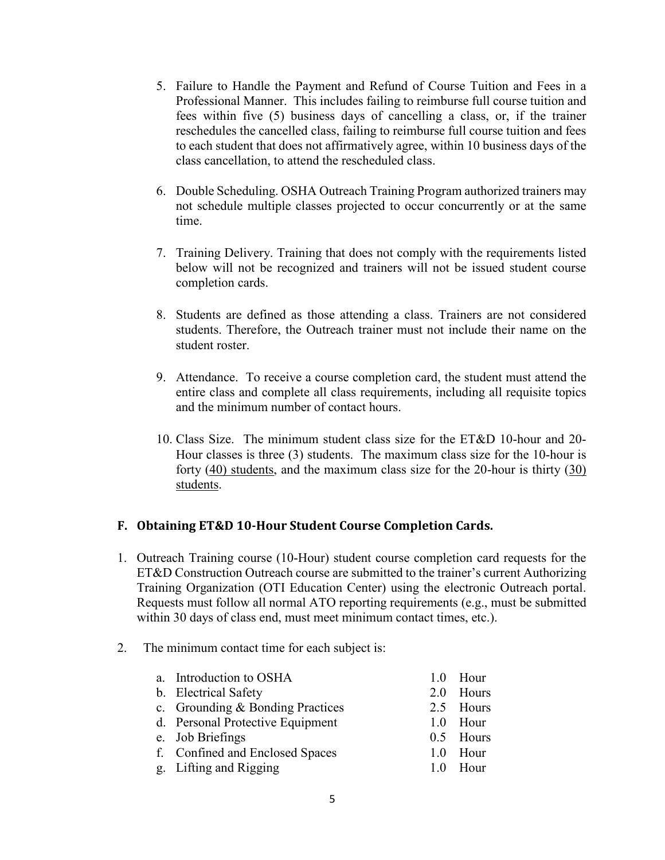- 5. Failure to Handle the Payment and Refund of Course Tuition and Fees in a Professional Manner. This includes failing to reimburse full course tuition and fees within five (5) business days of cancelling a class, or, if the trainer reschedules the cancelled class, failing to reimburse full course tuition and fees to each student that does not affirmatively agree, within 10 business days of the class cancellation, to attend the rescheduled class.
- 6. Double Scheduling. OSHA Outreach Training Program authorized trainers may not schedule multiple classes projected to occur concurrently or at the same time.
- 7. Training Delivery. Training that does not comply with the requirements listed below will not be recognized and trainers will not be issued student course completion cards.
- 8. Students are defined as those attending a class. Trainers are not considered students. Therefore, the Outreach trainer must not include their name on the student roster.
- 9. Attendance. To receive a course completion card, the student must attend the entire class and complete all class requirements, including all requisite topics and the minimum number of contact hours.
- 10. Class Size. The minimum student class size for the ET&D 10-hour and 20- Hour classes is three (3) students. The maximum class size for the 10-hour is forty (40) students, and the maximum class size for the 20-hour is thirty (30) students.

# <span id="page-5-0"></span>**F. Obtaining ET&D 10-Hour Student Course Completion Cards.**

- 1. Outreach Training course (10-Hour) student course completion card requests for the ET&D Construction Outreach course are submitted to the trainer's current Authorizing Training Organization (OTI Education Center) using the electronic Outreach portal. Requests must follow all normal ATO reporting requirements (e.g., must be submitted within 30 days of class end, must meet minimum contact times, etc.).
- 2. The minimum contact time for each subject is:

| a. Introduction to OSHA          | 1.0 Hour  |
|----------------------------------|-----------|
| b. Electrical Safety             | 2.0 Hours |
| c. Grounding & Bonding Practices | 2.5 Hours |
| d. Personal Protective Equipment | 1.0 Hour  |
| e. Job Briefings                 | 0.5 Hours |
| f. Confined and Enclosed Spaces  | 1.0 Hour  |
| g. Lifting and Rigging           | 1.0 Hour  |
|                                  |           |